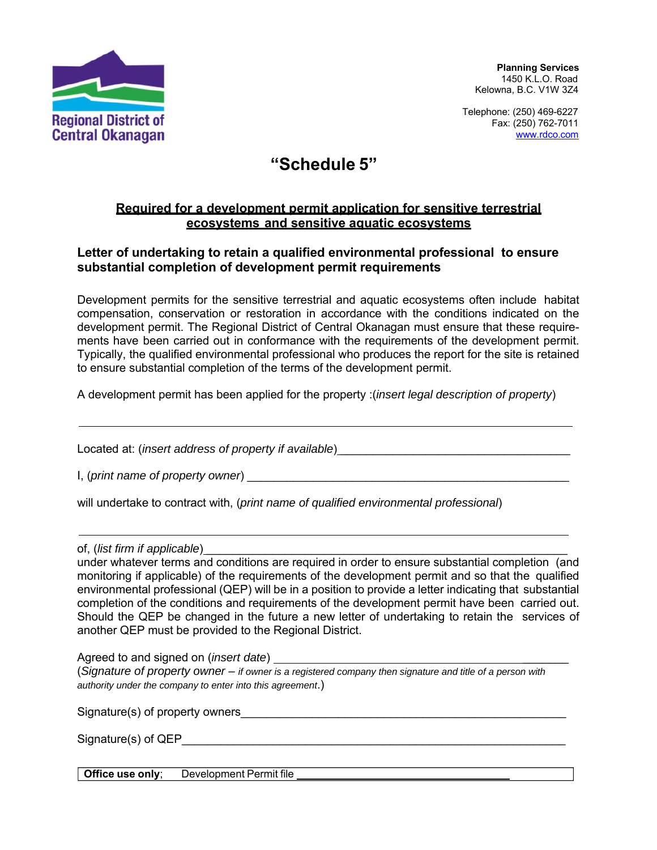

**Planning Services** 1450 K.L.O. Road Kelowna, B.C. V1W 3Z4

Telephone: (250) 469-6227  $\overline{F}$  Fax: (250) 762-7011 www.rdco.com

## **"Schedule 5"**

## **Required for a development permit application for sensitive terrestrial ecosystems and sensitive aquatic ecosystems**

## **Letter of undertaking to retain a qualified environmental professional to ensure substantial completion of development permit requirements**

Development permits for the sensitive terrestrial and aquatic ecosystems often include habitat compensation, conservation or restoration in accordance with the conditions indicated on the development permit. The Regional District of Central Okanagan must ensure that these requirements have been carried out in conformance with the requirements of the development permit. Typically, the qualified environmental professional who produces the report for the site is retained to ensure substantial completion of the terms of the development permit.

A development permit has been applied for the property :(*insert legal description of property*)

Located at: *(insert address of property if available)* 

I, (*print name of property owner*)

will undertake to contract with, (*print name of qualified environmental professional*)

of, (*list firm if applicable*)

under whatever terms and conditions are required in order to ensure substantial completion (and monitoring if applicable) of the requirements of the development permit and so that the qualified environmental professional (QEP) will be in a position to provide a letter indicating that substantial completion of the conditions and requirements of the development permit have been carried out. Should the QEP be changed in the future a new letter of undertaking to retain the services of another QEP must be provided to the Regional District.

Agreed to and signed on (*insert date*) \_\_\_\_\_\_\_

(*Signature of property owner – if owner is a registered company then signature and title of a person with authority under the company to enter into this agreement*.)

Signature(s) of property owners\_\_\_\_\_\_\_\_\_\_\_\_\_\_\_\_\_\_\_\_\_\_\_\_\_\_\_\_\_\_\_\_\_\_\_\_\_\_\_\_\_\_\_\_\_\_\_\_\_\_

Signature(s) of QEP

**Office use only**; Development Permit file